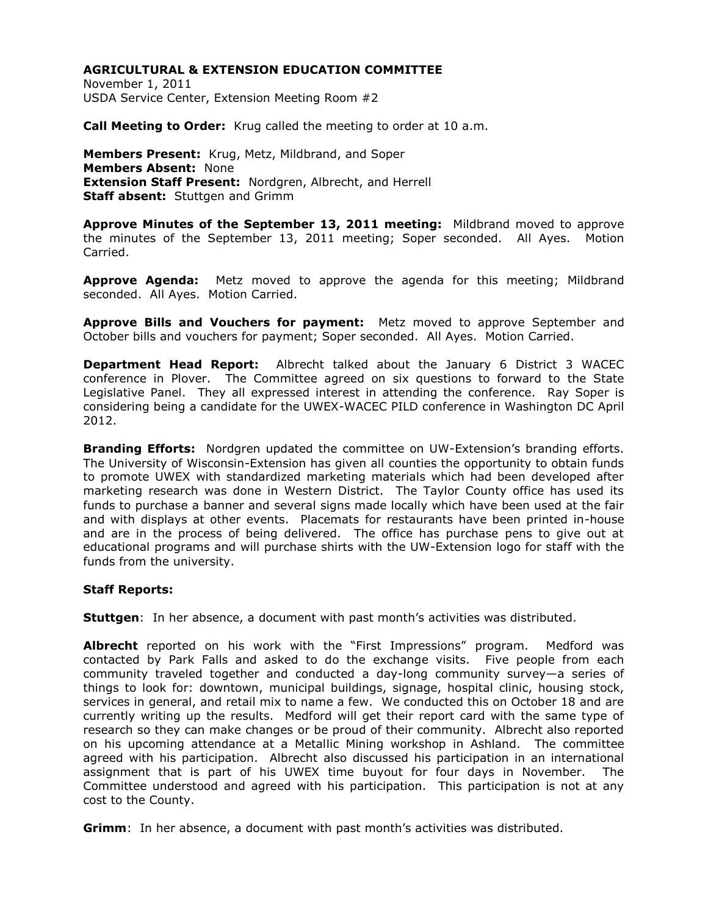November 1, 2011 USDA Service Center, Extension Meeting Room #2

**Call Meeting to Order:** Krug called the meeting to order at 10 a.m.

**Members Present:** Krug, Metz, Mildbrand, and Soper **Members Absent:** None **Extension Staff Present:** Nordgren, Albrecht, and Herrell **Staff absent:** Stuttgen and Grimm

**Approve Minutes of the September 13, 2011 meeting:** Mildbrand moved to approve the minutes of the September 13, 2011 meeting; Soper seconded. All Ayes. Motion Carried.

**Approve Agenda:** Metz moved to approve the agenda for this meeting; Mildbrand seconded. All Ayes. Motion Carried.

**Approve Bills and Vouchers for payment:** Metz moved to approve September and October bills and vouchers for payment; Soper seconded. All Ayes. Motion Carried.

**Department Head Report:** Albrecht talked about the January 6 District 3 WACEC conference in Plover. The Committee agreed on six questions to forward to the State Legislative Panel. They all expressed interest in attending the conference. Ray Soper is considering being a candidate for the UWEX-WACEC PILD conference in Washington DC April 2012.

**Branding Efforts:** Nordgren updated the committee on UW-Extension's branding efforts. The University of Wisconsin-Extension has given all counties the opportunity to obtain funds to promote UWEX with standardized marketing materials which had been developed after marketing research was done in Western District. The Taylor County office has used its funds to purchase a banner and several signs made locally which have been used at the fair and with displays at other events. Placemats for restaurants have been printed in-house and are in the process of being delivered. The office has purchase pens to give out at educational programs and will purchase shirts with the UW-Extension logo for staff with the funds from the university.

### **Staff Reports:**

**Stuttgen**: In her absence, a document with past month's activities was distributed.

Albrecht reported on his work with the "First Impressions" program. Medford was contacted by Park Falls and asked to do the exchange visits. Five people from each community traveled together and conducted a day-long community survey—a series of things to look for: downtown, municipal buildings, signage, hospital clinic, housing stock, services in general, and retail mix to name a few. We conducted this on October 18 and are currently writing up the results. Medford will get their report card with the same type of research so they can make changes or be proud of their community. Albrecht also reported on his upcoming attendance at a Metallic Mining workshop in Ashland. The committee agreed with his participation. Albrecht also discussed his participation in an international assignment that is part of his UWEX time buyout for four days in November. The Committee understood and agreed with his participation. This participation is not at any cost to the County.

**Grimm**:In her absence, a document with past month's activities was distributed.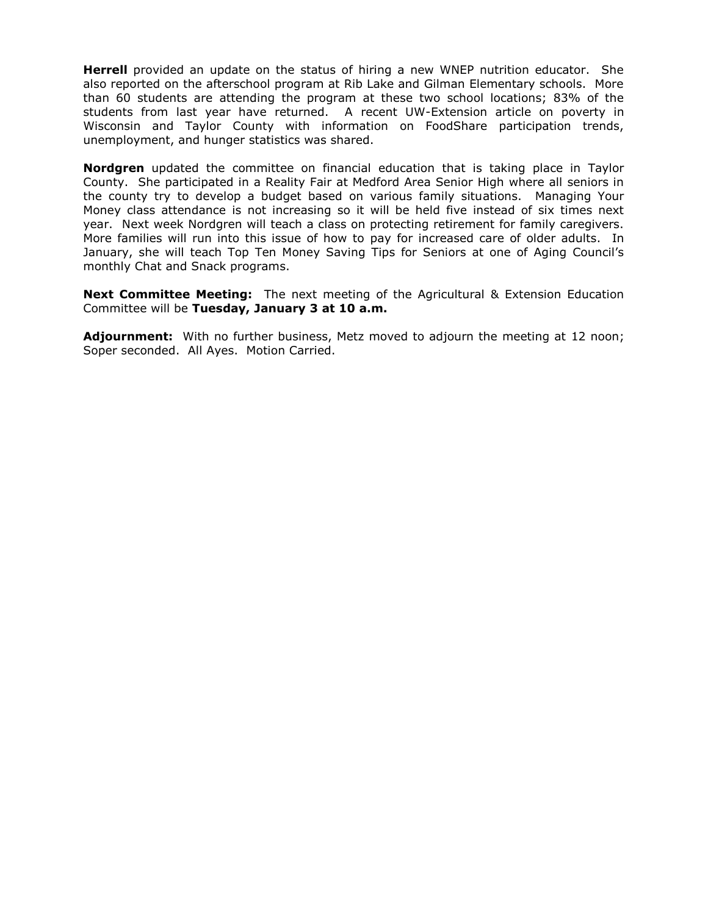**Herrell** provided an update on the status of hiring a new WNEP nutrition educator. She also reported on the afterschool program at Rib Lake and Gilman Elementary schools. More than 60 students are attending the program at these two school locations; 83% of the students from last year have returned. A recent UW-Extension article on poverty in Wisconsin and Taylor County with information on FoodShare participation trends, unemployment, and hunger statistics was shared.

**Nordgren** updated the committee on financial education that is taking place in Taylor County. She participated in a Reality Fair at Medford Area Senior High where all seniors in the county try to develop a budget based on various family situations. Managing Your Money class attendance is not increasing so it will be held five instead of six times next year. Next week Nordgren will teach a class on protecting retirement for family caregivers. More families will run into this issue of how to pay for increased care of older adults. In January, she will teach Top Ten Money Saving Tips for Seniors at one of Aging Council's monthly Chat and Snack programs.

**Next Committee Meeting:** The next meeting of the Agricultural & Extension Education Committee will be **Tuesday, January 3 at 10 a.m.**

**Adjournment:** With no further business, Metz moved to adjourn the meeting at 12 noon; Soper seconded. All Ayes. Motion Carried.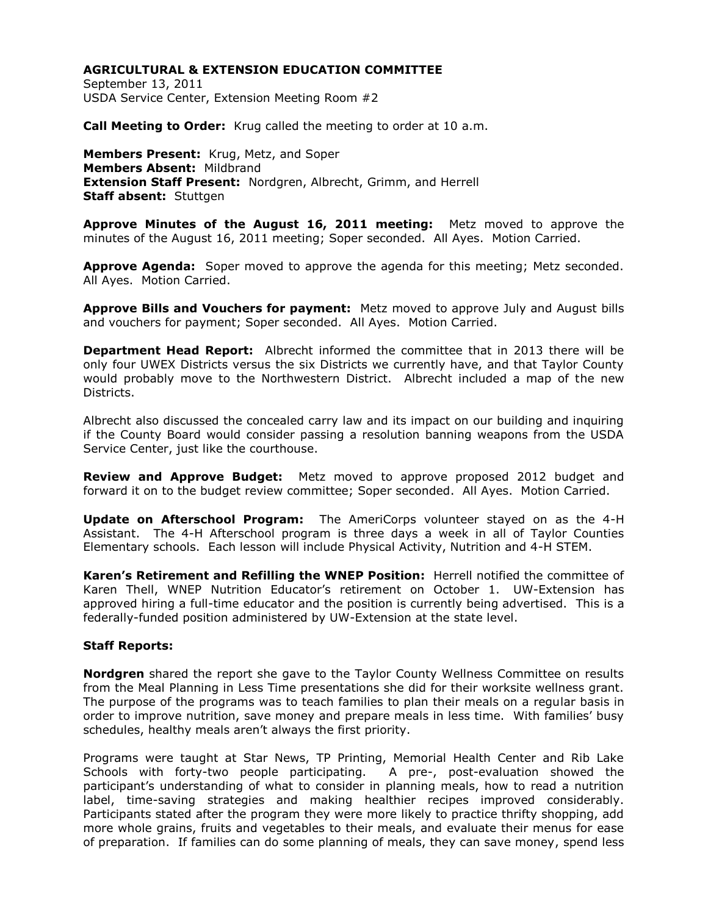September 13, 2011 USDA Service Center, Extension Meeting Room #2

**Call Meeting to Order:** Krug called the meeting to order at 10 a.m.

**Members Present:** Krug, Metz, and Soper **Members Absent:** Mildbrand **Extension Staff Present:** Nordgren, Albrecht, Grimm, and Herrell **Staff absent:** Stuttgen

**Approve Minutes of the August 16, 2011 meeting:** Metz moved to approve the minutes of the August 16, 2011 meeting; Soper seconded. All Ayes. Motion Carried.

**Approve Agenda:** Soper moved to approve the agenda for this meeting; Metz seconded. All Ayes. Motion Carried.

**Approve Bills and Vouchers for payment:** Metz moved to approve July and August bills and vouchers for payment; Soper seconded. All Ayes. Motion Carried.

**Department Head Report:** Albrecht informed the committee that in 2013 there will be only four UWEX Districts versus the six Districts we currently have, and that Taylor County would probably move to the Northwestern District. Albrecht included a map of the new Districts.

Albrecht also discussed the concealed carry law and its impact on our building and inquiring if the County Board would consider passing a resolution banning weapons from the USDA Service Center, just like the courthouse.

**Review and Approve Budget:** Metz moved to approve proposed 2012 budget and forward it on to the budget review committee; Soper seconded. All Ayes. Motion Carried.

**Update on Afterschool Program:** The AmeriCorps volunteer stayed on as the 4-H Assistant. The 4-H Afterschool program is three days a week in all of Taylor Counties Elementary schools. Each lesson will include Physical Activity, Nutrition and 4-H STEM.

**Karen's Retirement and Refilling the WNEP Position:** Herrell notified the committee of Karen Thell, WNEP Nutrition Educator's retirement on October 1. UW-Extension has approved hiring a full-time educator and the position is currently being advertised. This is a federally-funded position administered by UW-Extension at the state level.

#### **Staff Reports:**

**Nordgren** shared the report she gave to the Taylor County Wellness Committee on results from the Meal Planning in Less Time presentations she did for their worksite wellness grant. The purpose of the programs was to teach families to plan their meals on a regular basis in order to improve nutrition, save money and prepare meals in less time. With families' busy schedules, healthy meals aren't always the first priority.

Programs were taught at Star News, TP Printing, Memorial Health Center and Rib Lake Schools with forty-two people participating. A pre-, post-evaluation showed the participant's understanding of what to consider in planning meals, how to read a nutrition label, time-saving strategies and making healthier recipes improved considerably. Participants stated after the program they were more likely to practice thrifty shopping, add more whole grains, fruits and vegetables to their meals, and evaluate their menus for ease of preparation. If families can do some planning of meals, they can save money, spend less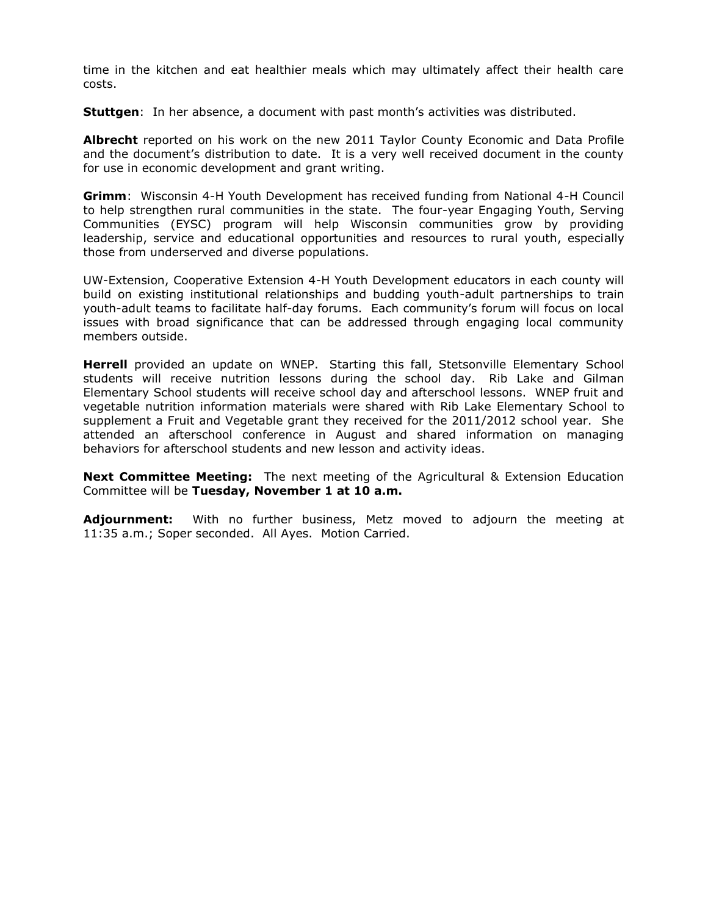time in the kitchen and eat healthier meals which may ultimately affect their health care costs.

**Stuttgen**: In her absence, a document with past month's activities was distributed.

**Albrecht** reported on his work on the new 2011 Taylor County Economic and Data Profile and the document's distribution to date. It is a very well received document in the county for use in economic development and grant writing.

**Grimm**: Wisconsin 4-H Youth Development has received funding from National 4-H Council to help strengthen rural communities in the state. The four-year Engaging Youth, Serving Communities (EYSC) program will help Wisconsin communities grow by providing leadership, service and educational opportunities and resources to rural youth, especially those from underserved and diverse populations.

UW-Extension, Cooperative Extension 4-H Youth Development educators in each county will build on existing institutional relationships and budding youth-adult partnerships to train youth-adult teams to facilitate half-day forums. Each community's forum will focus on local issues with broad significance that can be addressed through engaging local community members outside.

**Herrell** provided an update on WNEP. Starting this fall, Stetsonville Elementary School students will receive nutrition lessons during the school day. Rib Lake and Gilman Elementary School students will receive school day and afterschool lessons. WNEP fruit and vegetable nutrition information materials were shared with Rib Lake Elementary School to supplement a Fruit and Vegetable grant they received for the 2011/2012 school year. She attended an afterschool conference in August and shared information on managing behaviors for afterschool students and new lesson and activity ideas.

**Next Committee Meeting:** The next meeting of the Agricultural & Extension Education Committee will be **Tuesday, November 1 at 10 a.m.**

**Adjournment:** With no further business, Metz moved to adjourn the meeting at 11:35 a.m.; Soper seconded. All Ayes. Motion Carried.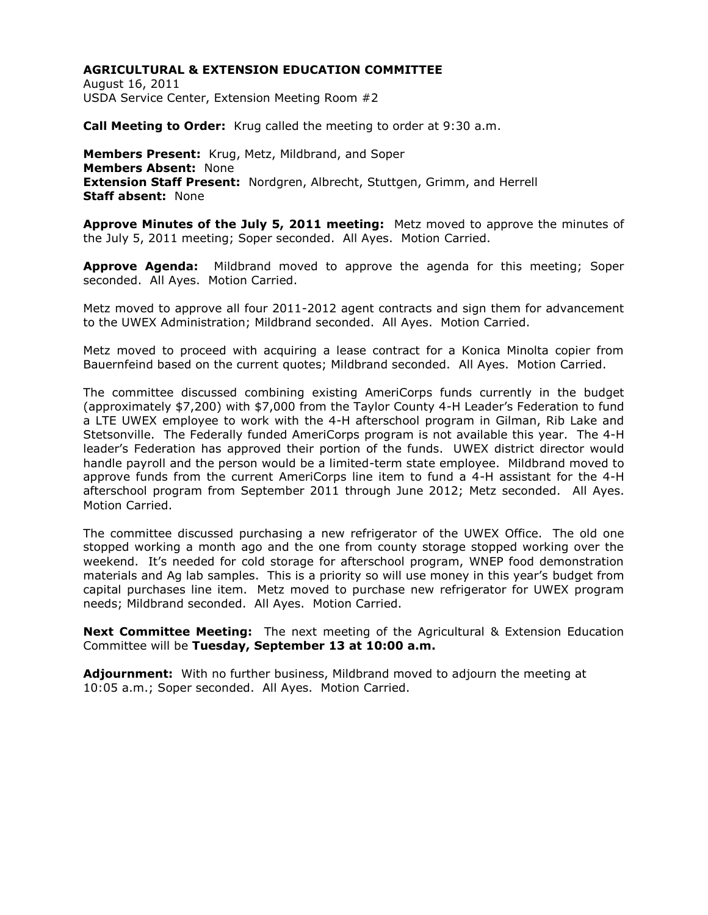August 16, 2011 USDA Service Center, Extension Meeting Room #2

**Call Meeting to Order:** Krug called the meeting to order at 9:30 a.m.

**Members Present:** Krug, Metz, Mildbrand, and Soper **Members Absent:** None **Extension Staff Present:** Nordgren, Albrecht, Stuttgen, Grimm, and Herrell **Staff absent:** None

**Approve Minutes of the July 5, 2011 meeting:** Metz moved to approve the minutes of the July 5, 2011 meeting; Soper seconded. All Ayes. Motion Carried.

**Approve Agenda:** Mildbrand moved to approve the agenda for this meeting; Soper seconded. All Ayes. Motion Carried.

Metz moved to approve all four 2011-2012 agent contracts and sign them for advancement to the UWEX Administration; Mildbrand seconded. All Ayes. Motion Carried.

Metz moved to proceed with acquiring a lease contract for a Konica Minolta copier from Bauernfeind based on the current quotes; Mildbrand seconded. All Ayes. Motion Carried.

The committee discussed combining existing AmeriCorps funds currently in the budget (approximately \$7,200) with \$7,000 from the Taylor County 4-H Leader's Federation to fund a LTE UWEX employee to work with the 4-H afterschool program in Gilman, Rib Lake and Stetsonville. The Federally funded AmeriCorps program is not available this year. The 4-H leader's Federation has approved their portion of the funds. UWEX district director would handle payroll and the person would be a limited-term state employee. Mildbrand moved to approve funds from the current AmeriCorps line item to fund a 4-H assistant for the 4-H afterschool program from September 2011 through June 2012; Metz seconded. All Ayes. Motion Carried.

The committee discussed purchasing a new refrigerator of the UWEX Office. The old one stopped working a month ago and the one from county storage stopped working over the weekend. It's needed for cold storage for afterschool program, WNEP food demonstration materials and Ag lab samples. This is a priority so will use money in this year's budget from capital purchases line item. Metz moved to purchase new refrigerator for UWEX program needs; Mildbrand seconded. All Ayes. Motion Carried.

**Next Committee Meeting:** The next meeting of the Agricultural & Extension Education Committee will be **Tuesday, September 13 at 10:00 a.m.**

**Adjournment:** With no further business, Mildbrand moved to adjourn the meeting at 10:05 a.m.; Soper seconded. All Ayes. Motion Carried.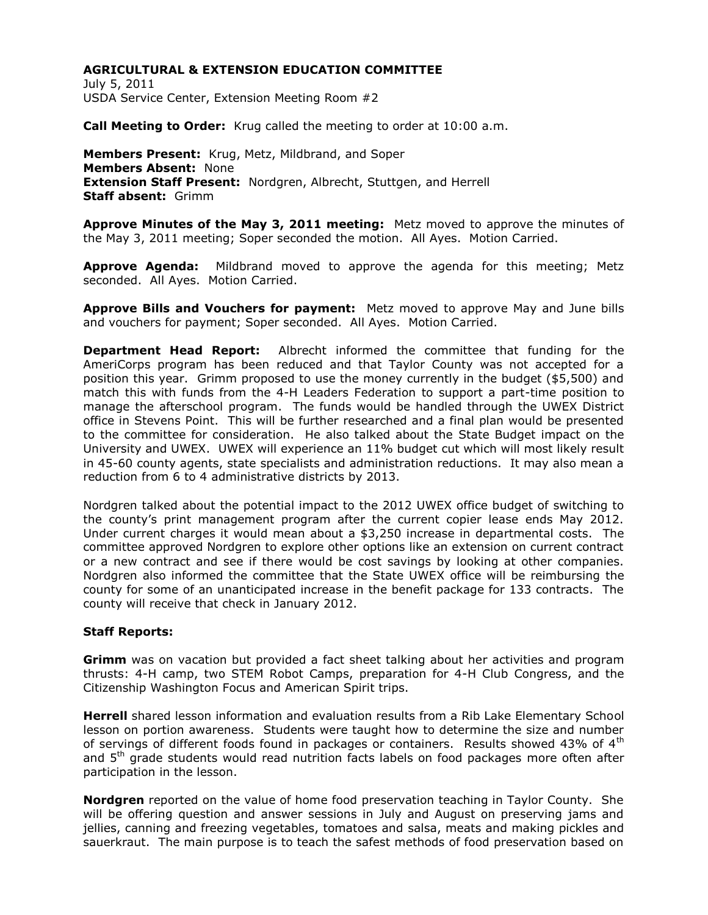July 5, 2011 USDA Service Center, Extension Meeting Room #2

**Call Meeting to Order:** Krug called the meeting to order at 10:00 a.m.

**Members Present:** Krug, Metz, Mildbrand, and Soper **Members Absent:** None **Extension Staff Present:** Nordgren, Albrecht, Stuttgen, and Herrell **Staff absent:** Grimm

**Approve Minutes of the May 3, 2011 meeting:** Metz moved to approve the minutes of the May 3, 2011 meeting; Soper seconded the motion. All Ayes. Motion Carried.

**Approve Agenda:** Mildbrand moved to approve the agenda for this meeting; Metz seconded. All Ayes. Motion Carried.

**Approve Bills and Vouchers for payment:** Metz moved to approve May and June bills and vouchers for payment; Soper seconded. All Ayes. Motion Carried.

**Department Head Report:** Albrecht informed the committee that funding for the AmeriCorps program has been reduced and that Taylor County was not accepted for a position this year. Grimm proposed to use the money currently in the budget (\$5,500) and match this with funds from the 4-H Leaders Federation to support a part-time position to manage the afterschool program. The funds would be handled through the UWEX District office in Stevens Point. This will be further researched and a final plan would be presented to the committee for consideration. He also talked about the State Budget impact on the University and UWEX. UWEX will experience an 11% budget cut which will most likely result in 45-60 county agents, state specialists and administration reductions. It may also mean a reduction from 6 to 4 administrative districts by 2013.

Nordgren talked about the potential impact to the 2012 UWEX office budget of switching to the county's print management program after the current copier lease ends May 2012. Under current charges it would mean about a \$3,250 increase in departmental costs. The committee approved Nordgren to explore other options like an extension on current contract or a new contract and see if there would be cost savings by looking at other companies. Nordgren also informed the committee that the State UWEX office will be reimbursing the county for some of an unanticipated increase in the benefit package for 133 contracts. The county will receive that check in January 2012.

### **Staff Reports:**

**Grimm** was on vacation but provided a fact sheet talking about her activities and program thrusts: 4-H camp, two STEM Robot Camps, preparation for 4-H Club Congress, and the Citizenship Washington Focus and American Spirit trips.

**Herrell** shared lesson information and evaluation results from a Rib Lake Elementary School lesson on portion awareness. Students were taught how to determine the size and number of servings of different foods found in packages or containers. Results showed 43% of 4<sup>th</sup> and  $5<sup>th</sup>$  grade students would read nutrition facts labels on food packages more often after participation in the lesson.

**Nordgren** reported on the value of home food preservation teaching in Taylor County. She will be offering question and answer sessions in July and August on preserving jams and jellies, canning and freezing vegetables, tomatoes and salsa, meats and making pickles and sauerkraut. The main purpose is to teach the safest methods of food preservation based on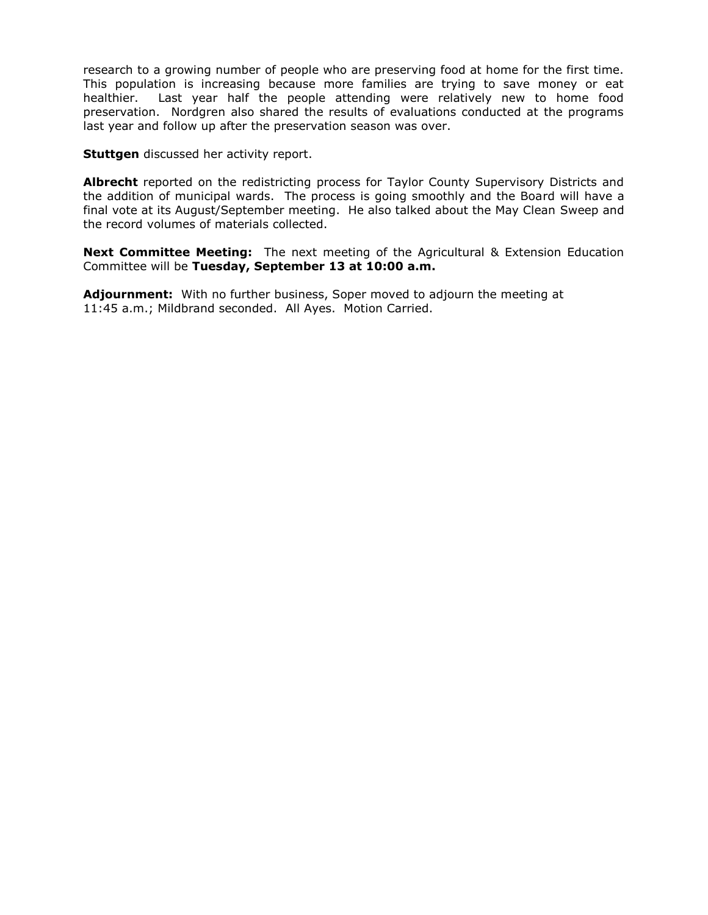research to a growing number of people who are preserving food at home for the first time. This population is increasing because more families are trying to save money or eat healthier. Last year half the people attending were relatively new to home food preservation. Nordgren also shared the results of evaluations conducted at the programs last year and follow up after the preservation season was over.

**Stuttgen** discussed her activity report.

**Albrecht** reported on the redistricting process for Taylor County Supervisory Districts and the addition of municipal wards. The process is going smoothly and the Board will have a final vote at its August/September meeting. He also talked about the May Clean Sweep and the record volumes of materials collected.

**Next Committee Meeting:** The next meeting of the Agricultural & Extension Education Committee will be **Tuesday, September 13 at 10:00 a.m.**

**Adjournment:** With no further business, Soper moved to adjourn the meeting at 11:45 a.m.; Mildbrand seconded. All Ayes. Motion Carried.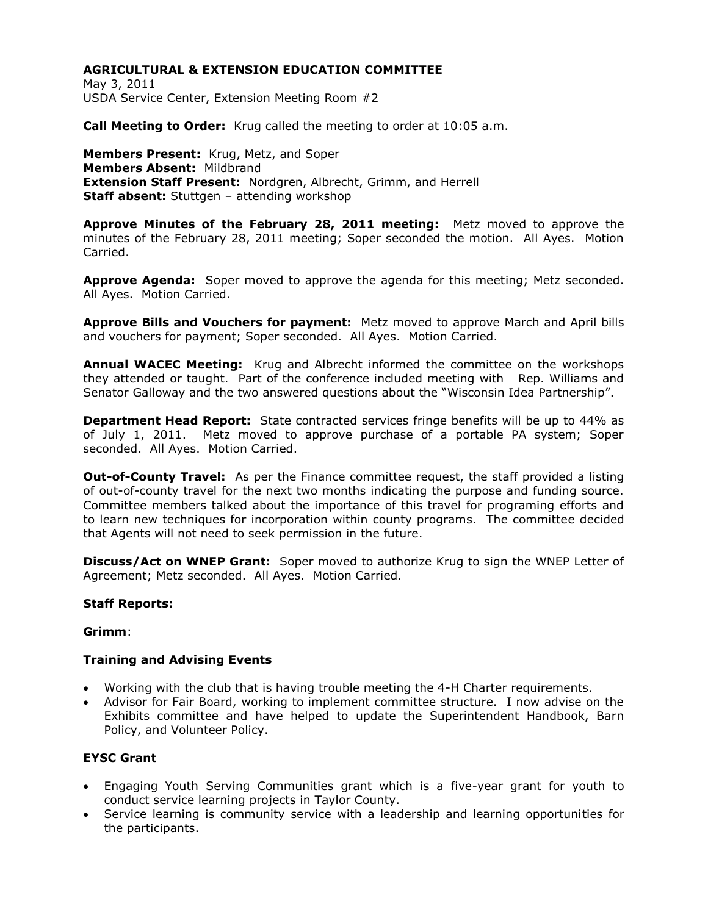May 3, 2011 USDA Service Center, Extension Meeting Room #2

**Call Meeting to Order:** Krug called the meeting to order at 10:05 a.m.

**Members Present:** Krug, Metz, and Soper **Members Absent:** Mildbrand **Extension Staff Present:** Nordgren, Albrecht, Grimm, and Herrell **Staff absent:** Stuttgen – attending workshop

**Approve Minutes of the February 28, 2011 meeting:** Metz moved to approve the minutes of the February 28, 2011 meeting; Soper seconded the motion. All Ayes. Motion Carried.

**Approve Agenda:** Soper moved to approve the agenda for this meeting; Metz seconded. All Ayes. Motion Carried.

**Approve Bills and Vouchers for payment:** Metz moved to approve March and April bills and vouchers for payment; Soper seconded. All Ayes. Motion Carried.

**Annual WACEC Meeting:** Krug and Albrecht informed the committee on the workshops they attended or taught. Part of the conference included meeting with Rep. Williams and Senator Galloway and the two answered questions about the "Wisconsin Idea Partnership".

**Department Head Report:** State contracted services fringe benefits will be up to 44% as of July 1, 2011. Metz moved to approve purchase of a portable PA system; Soper seconded. All Ayes. Motion Carried.

**Out-of-County Travel:** As per the Finance committee request, the staff provided a listing of out-of-county travel for the next two months indicating the purpose and funding source. Committee members talked about the importance of this travel for programing efforts and to learn new techniques for incorporation within county programs. The committee decided that Agents will not need to seek permission in the future.

**Discuss/Act on WNEP Grant:** Soper moved to authorize Krug to sign the WNEP Letter of Agreement; Metz seconded. All Ayes. Motion Carried.

### **Staff Reports:**

### **Grimm**:

### **Training and Advising Events**

- Working with the club that is having trouble meeting the 4-H Charter requirements.
- Advisor for Fair Board, working to implement committee structure. I now advise on the Exhibits committee and have helped to update the Superintendent Handbook, Barn Policy, and Volunteer Policy.

# **EYSC Grant**

- Engaging Youth Serving Communities grant which is a five-year grant for youth to conduct service learning projects in Taylor County.
- Service learning is community service with a leadership and learning opportunities for the participants.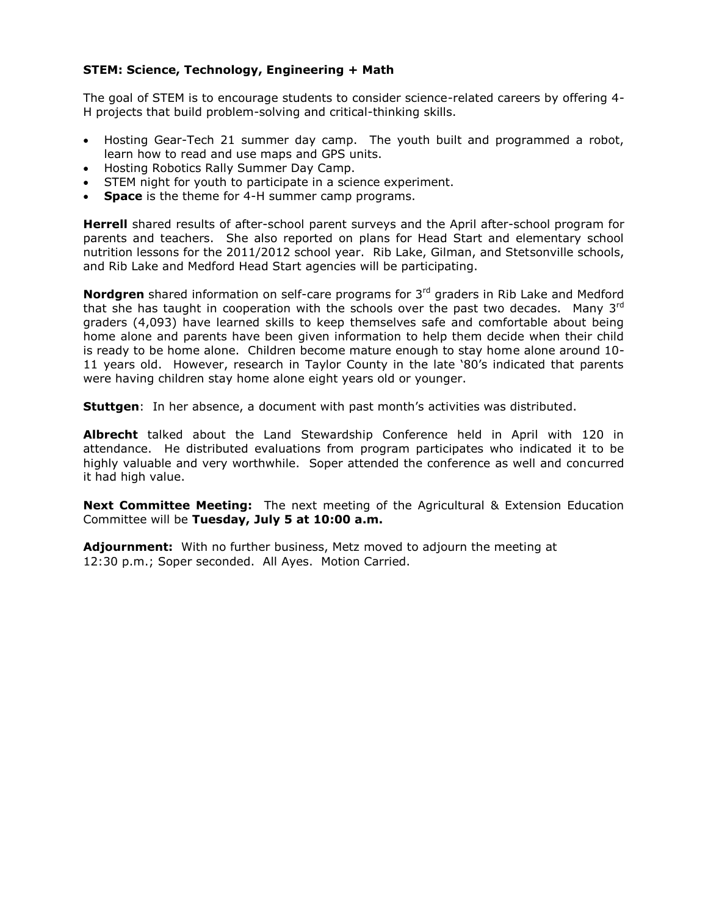# **STEM: Science, Technology, Engineering + Math**

The goal of STEM is to encourage students to consider science-related careers by offering 4- H projects that build problem-solving and critical-thinking skills.

- Hosting Gear-Tech 21 summer day camp. The youth built and programmed a robot, learn how to read and use maps and GPS units.
- Hosting Robotics Rally Summer Day Camp.
- STEM night for youth to participate in a science experiment.
- **Space** is the theme for 4-H summer camp programs.

**Herrell** shared results of after-school parent surveys and the April after-school program for parents and teachers. She also reported on plans for Head Start and elementary school nutrition lessons for the 2011/2012 school year. Rib Lake, Gilman, and Stetsonville schools, and Rib Lake and Medford Head Start agencies will be participating.

**Nordgren** shared information on self-care programs for 3<sup>rd</sup> graders in Rib Lake and Medford that she has taught in cooperation with the schools over the past two decades. Many 3<sup>rd</sup> graders (4,093) have learned skills to keep themselves safe and comfortable about being home alone and parents have been given information to help them decide when their child is ready to be home alone. Children become mature enough to stay home alone around 10- 11 years old. However, research in Taylor County in the late '80's indicated that parents were having children stay home alone eight years old or younger.

**Stuttgen**: In her absence, a document with past month's activities was distributed.

**Albrecht** talked about the Land Stewardship Conference held in April with 120 in attendance. He distributed evaluations from program participates who indicated it to be highly valuable and very worthwhile. Soper attended the conference as well and concurred it had high value.

**Next Committee Meeting:** The next meeting of the Agricultural & Extension Education Committee will be **Tuesday, July 5 at 10:00 a.m.**

**Adjournment:** With no further business, Metz moved to adjourn the meeting at 12:30 p.m.; Soper seconded. All Ayes. Motion Carried.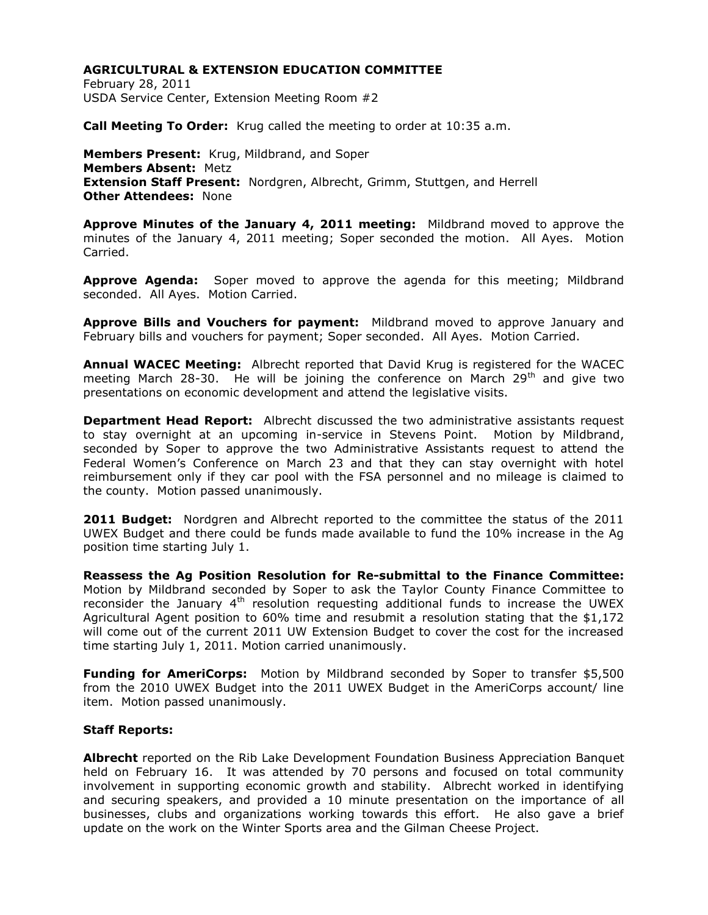February 28, 2011 USDA Service Center, Extension Meeting Room #2

**Call Meeting To Order:** Krug called the meeting to order at 10:35 a.m.

**Members Present:** Krug, Mildbrand, and Soper **Members Absent:** Metz **Extension Staff Present:** Nordgren, Albrecht, Grimm, Stuttgen, and Herrell **Other Attendees:** None

**Approve Minutes of the January 4, 2011 meeting:** Mildbrand moved to approve the minutes of the January 4, 2011 meeting; Soper seconded the motion. All Ayes. Motion Carried.

**Approve Agenda:** Soper moved to approve the agenda for this meeting; Mildbrand seconded. All Ayes. Motion Carried.

**Approve Bills and Vouchers for payment:** Mildbrand moved to approve January and February bills and vouchers for payment; Soper seconded. All Ayes. Motion Carried.

**Annual WACEC Meeting:** Albrecht reported that David Krug is registered for the WACEC meeting March 28-30. He will be joining the conference on March  $29<sup>th</sup>$  and give two presentations on economic development and attend the legislative visits.

**Department Head Report:** Albrecht discussed the two administrative assistants request to stay overnight at an upcoming in-service in Stevens Point. Motion by Mildbrand, seconded by Soper to approve the two Administrative Assistants request to attend the Federal Women's Conference on March 23 and that they can stay overnight with hotel reimbursement only if they car pool with the FSA personnel and no mileage is claimed to the county. Motion passed unanimously.

**2011 Budget:** Nordgren and Albrecht reported to the committee the status of the 2011 UWEX Budget and there could be funds made available to fund the 10% increase in the Ag position time starting July 1.

**Reassess the Ag Position Resolution for Re-submittal to the Finance Committee:**  Motion by Mildbrand seconded by Soper to ask the Taylor County Finance Committee to reconsider the January  $4<sup>th</sup>$  resolution requesting additional funds to increase the UWEX Agricultural Agent position to 60% time and resubmit a resolution stating that the \$1,172 will come out of the current 2011 UW Extension Budget to cover the cost for the increased time starting July 1, 2011. Motion carried unanimously.

**Funding for AmeriCorps:** Motion by Mildbrand seconded by Soper to transfer \$5,500 from the 2010 UWEX Budget into the 2011 UWEX Budget in the AmeriCorps account/ line item. Motion passed unanimously.

### **Staff Reports:**

**Albrecht** reported on the Rib Lake Development Foundation Business Appreciation Banquet held on February 16. It was attended by 70 persons and focused on total community involvement in supporting economic growth and stability. Albrecht worked in identifying and securing speakers, and provided a 10 minute presentation on the importance of all businesses, clubs and organizations working towards this effort. He also gave a brief update on the work on the Winter Sports area and the Gilman Cheese Project.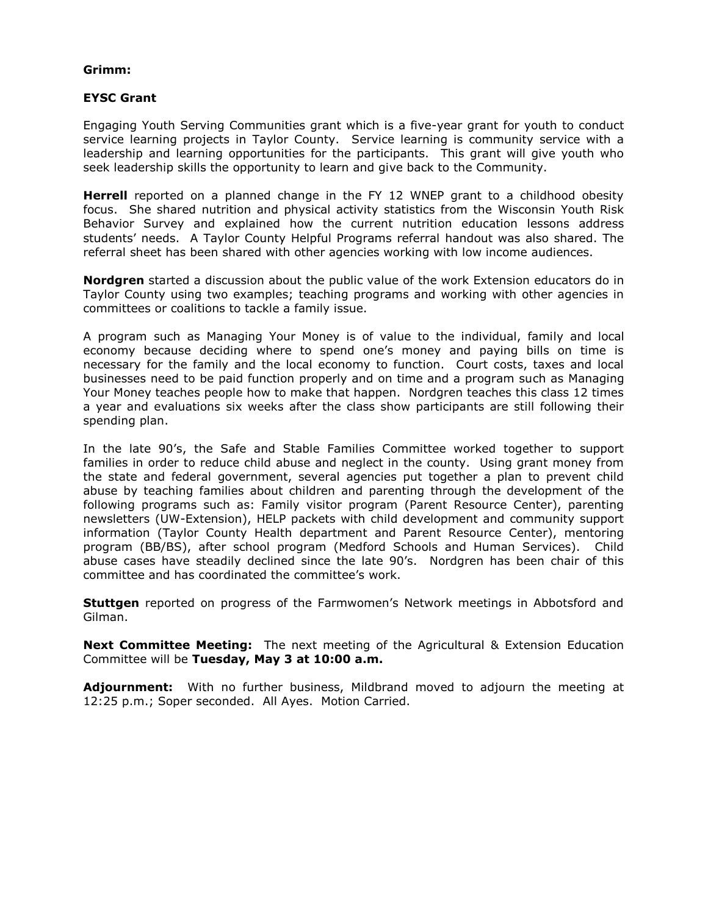#### **Grimm:**

#### **EYSC Grant**

Engaging Youth Serving Communities grant which is a five-year grant for youth to conduct service learning projects in Taylor County. Service learning is community service with a leadership and learning opportunities for the participants. This grant will give youth who seek leadership skills the opportunity to learn and give back to the Community.

**Herrell** reported on a planned change in the FY 12 WNEP grant to a childhood obesity focus. She shared nutrition and physical activity statistics from the Wisconsin Youth Risk Behavior Survey and explained how the current nutrition education lessons address students' needs. A Taylor County Helpful Programs referral handout was also shared. The referral sheet has been shared with other agencies working with low income audiences.

**Nordgren** started a discussion about the public value of the work Extension educators do in Taylor County using two examples; teaching programs and working with other agencies in committees or coalitions to tackle a family issue.

A program such as Managing Your Money is of value to the individual, family and local economy because deciding where to spend one's money and paying bills on time is necessary for the family and the local economy to function. Court costs, taxes and local businesses need to be paid function properly and on time and a program such as Managing Your Money teaches people how to make that happen. Nordgren teaches this class 12 times a year and evaluations six weeks after the class show participants are still following their spending plan.

In the late 90's, the Safe and Stable Families Committee worked together to support families in order to reduce child abuse and neglect in the county. Using grant money from the state and federal government, several agencies put together a plan to prevent child abuse by teaching families about children and parenting through the development of the following programs such as: Family visitor program (Parent Resource Center), parenting newsletters (UW-Extension), HELP packets with child development and community support information (Taylor County Health department and Parent Resource Center), mentoring program (BB/BS), after school program (Medford Schools and Human Services). Child abuse cases have steadily declined since the late 90's. Nordgren has been chair of this committee and has coordinated the committee's work.

**Stuttgen** reported on progress of the Farmwomen's Network meetings in Abbotsford and Gilman.

**Next Committee Meeting:** The next meeting of the Agricultural & Extension Education Committee will be **Tuesday, May 3 at 10:00 a.m.**

**Adjournment:** With no further business, Mildbrand moved to adjourn the meeting at 12:25 p.m.; Soper seconded. All Ayes. Motion Carried.